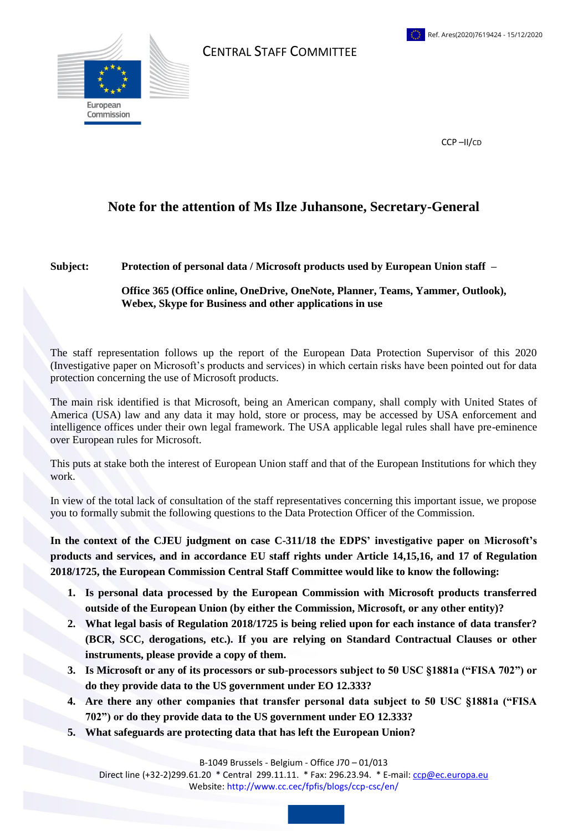

CENTRAL STAFF COMMITTEE

CCP –II/CD

## **Note for the attention of Ms Ilze Juhansone, Secretary-General**

## **Subject: Protection of personal data / Microsoft products used by European Union staff –**

## **Office 365 (Office online, OneDrive, OneNote, Planner, Teams, Yammer, Outlook), Webex, Skype for Business and other applications in use**

The staff representation follows up the report of the European Data Protection Supervisor of this 2020 (Investigative [paper](https://edps.europa.eu/data-protection/our-work/publications/papers/outcome-own-initiative-investigation-eu-institutions_en) on Microsoft's products and services) in which certain risks have been pointed out for data protection concerning the use of Microsoft products.

The main risk identified is that Microsoft, being an American company, shall comply with United States of America (USA) law and any data it may hold, store or process, may be accessed by USA enforcement and intelligence offices under their own legal framework. The USA applicable legal rules shall have pre-eminence over European rules for Microsoft.

This puts at stake both the interest of European Union staff and that of the European Institutions for which they work.

In view of the total lack of consultation of the staff representatives concerning this important issue, we propose you to formally submit the following questions to the Data Protection Officer of the Commission.

**In the context of the CJEU judgment on case [C-311/18](http://curia.europa.eu/juris/liste.jsf?language=en&jur=C%2CT%2CF&num=%20C-311/18&parties=&dates=error&docnodecision=docnodecision&allcommjo=allcommjo&affint=affint&affclose=affclose&alldocrec=alldocrec&docdecision=docdecision&docor=docor&docav=docav&docsom=docsom&docinf=docinf&alldocnorec=alldocnorec&docnoor=docnoor&docppoag=docppoag&radtypeord=on&newform=newform&docj=docj&docop=docop&docnoj=docnoj&typeord=ALL&domaine=&mots=&resmax=100&Submit=Rechercher) the EDPS' investigative [paper](https://edps.europa.eu/data-protection/our-work/publications/papers/outcome-own-initiative-investigation-eu-institutions_en) on Microsoft's products and services, and in accordance EU staff rights under Article 14,15,16, and 17 of Regulation 2018/1725, the European Commission Central Staff Committee would like to know the following:**

- **1. Is personal data processed by the European Commission with Microsoft products transferred outside of the European Union (by either the Commission, Microsoft, or any other entity)?**
- **2. What legal basis of Regulation 2018/1725 is being relied upon for each instance of data transfer? (BCR, SCC, derogations, etc.). If you are relying on Standard Contractual Clauses or other instruments, please provide a copy of them.**
- **3. Is Microsoft or any of its processors or sub-processors subject to 50 USC §1881a ("FISA 702") or do they provide data to the US government under EO 12.333?**
- **4. Are there any other companies that transfer personal data subject to 50 USC §1881a ("FISA 702") or do they provide data to the US government under EO 12.333?**
- **5. What safeguards are protecting data that has left the European Union?**

B-1049 Brussels - Belgium - Office J70 – 01/013

Direct line (+32-2)299.61.20 \* Central 299.11.11. \* Fax: 296.23.94. \* E-mail: [ccp@ec.europa.eu](mailto:ccp@ec.europa.eu) Website: http://www.cc.cec/fpfis/blogs/ccp-csc/en/